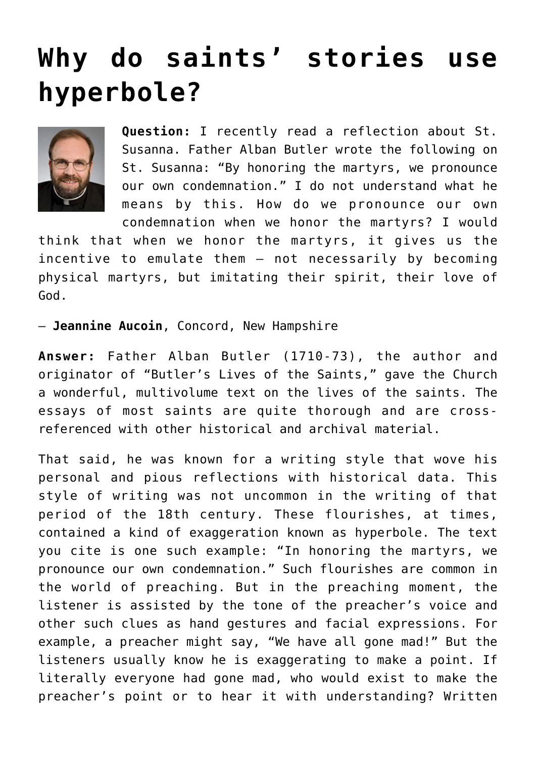## **[Why do saints' stories use](https://www.osvnews.com/2021/10/12/why-do-saints-stories-use-hyperbole/) [hyperbole?](https://www.osvnews.com/2021/10/12/why-do-saints-stories-use-hyperbole/)**



**Question:** I recently read a reflection about St. Susanna. Father Alban Butler wrote the following on St. Susanna: "By honoring the martyrs, we pronounce our own condemnation." I do not understand what he means by this. How do we pronounce our own condemnation when we honor the martyrs? I would

think that when we honor the martyrs, it gives us the incentive to emulate them — not necessarily by becoming physical martyrs, but imitating their spirit, their love of God.

— **Jeannine Aucoin**, Concord, New Hampshire

**Answer:** Father Alban Butler (1710-73), the author and originator of "Butler's Lives of the Saints," gave the Church a wonderful, multivolume text on the lives of the saints. The essays of most saints are quite thorough and are crossreferenced with other historical and archival material.

That said, he was known for a writing style that wove his personal and pious reflections with historical data. This style of writing was not uncommon in the writing of that period of the 18th century. These flourishes, at times, contained a kind of exaggeration known as hyperbole. The text you cite is one such example: "In honoring the martyrs, we pronounce our own condemnation." Such flourishes are common in the world of preaching. But in the preaching moment, the listener is assisted by the tone of the preacher's voice and other such clues as hand gestures and facial expressions. For example, a preacher might say, "We have all gone mad!" But the listeners usually know he is exaggerating to make a point. If literally everyone had gone mad, who would exist to make the preacher's point or to hear it with understanding? Written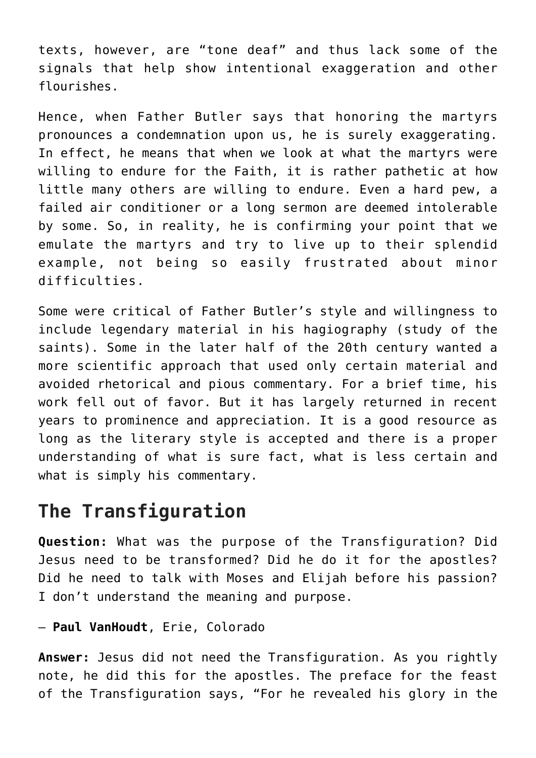texts, however, are "tone deaf" and thus lack some of the signals that help show intentional exaggeration and other flourishes.

Hence, when Father Butler says that honoring the martyrs pronounces a condemnation upon us, he is surely exaggerating. In effect, he means that when we look at what the martyrs were willing to endure for the Faith, it is rather pathetic at how little many others are willing to endure. Even a hard pew, a failed air conditioner or a long sermon are deemed intolerable by some. So, in reality, he is confirming your point that we emulate the martyrs and try to live up to their splendid example, not being so easily frustrated about minor difficulties.

Some were critical of Father Butler's style and willingness to include legendary material in his hagiography (study of the saints). Some in the later half of the 20th century wanted a more scientific approach that used only certain material and avoided rhetorical and pious commentary. For a brief time, his work fell out of favor. But it has largely returned in recent years to prominence and appreciation. It is a good resource as long as the literary style is accepted and there is a proper understanding of what is sure fact, what is less certain and what is simply his commentary.

## **The Transfiguration**

**Question:** What was the purpose of the Transfiguration? Did Jesus need to be transformed? Did he do it for the apostles? Did he need to talk with Moses and Elijah before his passion? I don't understand the meaning and purpose.

## — **Paul VanHoudt**, Erie, Colorado

**Answer:** Jesus did not need the Transfiguration. As you rightly note, he did this for the apostles. The preface for the feast of the Transfiguration says, "For he revealed his glory in the